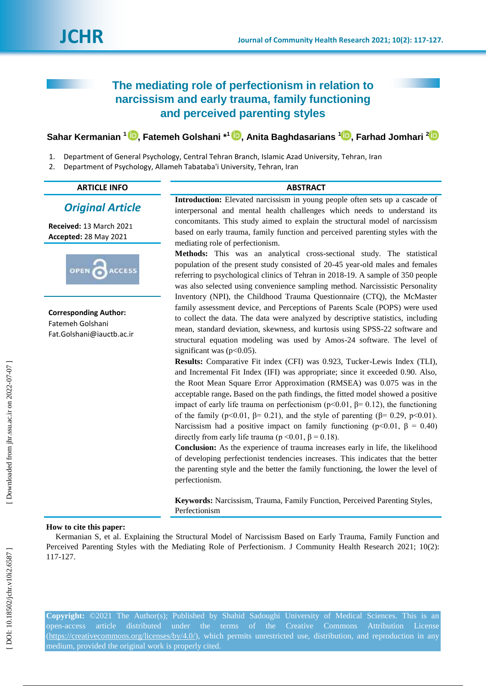# **The mediating role of perfectionism in relation to narcissism and early trauma, family functioning and perceived parenting styles**

## $\boldsymbol{\delta}$ ahar Kermanian  $^1$  $^1$   $\boldsymbol{\mathbb{D}},$  $\boldsymbol{\mathbb{D}},$  Fatemeh Golshani  $^{*1}$   $\boldsymbol{\mathbb{D}},$  Anita Baghdasarians  $^1\boldsymbol{\mathbb{D}},$  Farhad Jomhari  $^2$

- 1 . Department of General Psychology, Central Tehran Branch, Islamic Azad University, Tehran, Iran
- 2 . Department of Psychology, Allameh Tabataba'i University, Tehran, Iran

| . . | -<br>ᄕ<br>\. . I |  |
|-----|------------------|--|
|     |                  |  |
|     |                  |  |

*Original Article*

**ACCESS** 

**Received:**  1 3 March 202 1 **Accepted:** 28 May 2021

**Corresponding Author:** Fatemeh Golshani Fat.Golshani@iauctb.ac.ir

OPEN

**ABSTRACT** 

**Introduction:** Elevated narcissism in young people often sets up a cascade of interpersonal and mental health challenges which needs to understand its concomitants. This study aimed to explain the structural model of narcissism based on early trauma, family function and perceived parenting styles with the mediating role of perfectionism.

**Methods:** This was an analytical cross -sectional study. The statistical population of the present study consisted of 20 -45 year -old males and females referring to psychological clinics of Tehran in 2018 -19. A sample of 350 people was also selected using convenience sampling method. Narcissistic Personality Inventory (NPI), the Childhood Trauma Questionnaire (CTQ), the McMaster family assessment device, and Perceptions of Parents Scale (POPS) were used to collect the data. The data were analyzed by descriptive statistics, including mean, standard deviation, skewness, and kurtosis using SPSS -22 software and structural equation modeling was used by Amos -24 software. The level of significant was  $(p<0.05)$ .

**Results:** Comparative Fit index (CFI) was 0.923, Tucker -Lewis Index (TLI), and Incremental Fit Index (IFI) was appropriate; since it exceeded 0.90. Also, the Root Mean Square Error Approximation (RMSEA) was 0.075 was in the acceptable range**.** Based on the path findings, the fitted model showed a positive impact of early life trauma on perfectionism ( $p<0.01$ ,  $\beta=0.12$ ), the functioning of the family ( $p<0.01$ ,  $\beta= 0.21$ ), and the style of parenting ( $\beta= 0.29$ ,  $p<0.01$ ). Narcissism had a positive impact on family functioning ( $p<0.01$ ,  $\beta = 0.40$ ) directly from early life trauma ( $p \le 0.01$ ,  $β = 0.18$ ).

**Conclusion:** As the experience of trauma increases early in life, the likelihood of developing perfectionist tendencies increases. This indicates that the better the parenting style and the better the family functioning, the lower the level of perfectionism.

**Keywords:** Narcissism, Trauma, Family Function, Perceived Parenting Styles, Perfectionism

#### **How to cite this paper:**

Kermanian S, et al. Explaining the Structural Model of Narcissism Based on Early Trauma, Family Function and Perceived Parenting Styles with the Mediating Role of Perfectionism. J Community Health Research 2021; 10(2): 117 -127 .

**Copyright:** ©2021 The Author(s); Published by Shahid Sadoughi University of Medical Sciences. This is an open-access article distributed under the terms of the Creative Commons Attribution License [\(https://creativecommons.org/licenses/by/4.0/\)](https://creativecommons.org/licenses/by/4.0/), which permits unrestricted use, distribution, and reproduction in any medium, provided the original work is properly cited.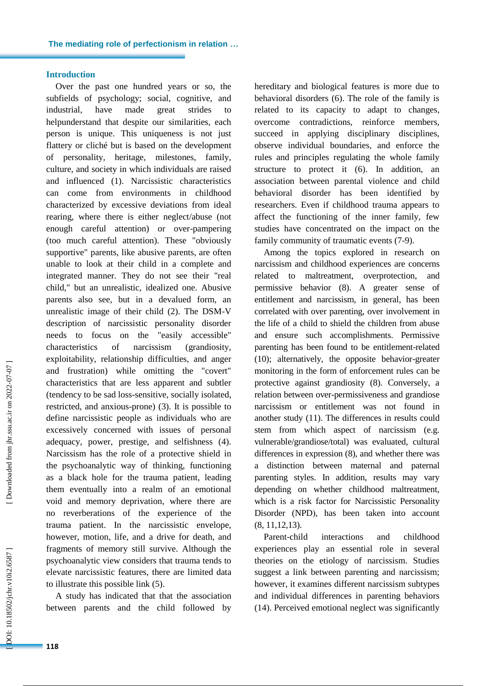#### **Introduction**

Over the past one hundred years or so, the subfields of psychology; social, cognitive, and industrial, have made great strides to helpunderstand that despite our similarities, each person is unique. This uniqueness is not just flattery or cliché but is based on the development of personality, heritage, milestones, family, culture, and society in which individuals are raised and influenced (1). Narcissistic characteristics can come from environments in childhood characterized by excessive deviations from ideal rearing, where there is either neglect/abuse (not enough careful attention) or over -pampering (too much careful attention). These "obviously supportive" parents, like abusive parents, are often unable to look at their child in a complete and integrated manner. They do not see their "real child," but an unrealistic, idealized one. Abusive parents also see, but in a devalued form, an unrealistic image of their child (2). The DSM -V description of narcissistic personality disorder needs to focus on the "easily accessible" characteristics of narcissism (grandiosity, exploitability, relationship difficulties, and anger and frustration) while omitting the "covert" characteristics that are less apparent and subtler (tendency to be sad loss -sensitive, socially isolated, restricted, and anxious -prone) (3). It is possible to define narcissistic people as individuals who are excessively concerned with issues of personal adequacy, power, prestige, and selfishness (4). Narcissism has the role of a protective shield in the psychoanalytic way of thinking, functioning as a black hole for the trauma patient, leading them eventually into a realm of an emotional void and memory deprivation, where there are no reverberations of the experience of the trauma patient. In the narcissistic envelope, however, motion, life, and a drive for death, and fragments of memory still survive. Although the psychoanalytic view considers that trauma tends to elevate narcissistic features, there are limited data to illustrate this possible link (5). A study has indicated that that the association

between parents and the child followed by

hereditary and biological features is more due to behavioral disorders (6). The role of the family is related to its capacity to adapt to changes, overcome contradictions, reinforc e members, succeed in applying disciplinary disciplines, observe individual boundaries, and enforce the rules and principles regulating the whole family structure to protect it (6). In addition, an association between parental violence and child behavioral disorder has been identified by researchers. Even if childhood trauma appears to affect the functioning of the inner family, few studies have concentrated on the impact on the family community of traumatic events (7 -9).

Among the topics explored in research on narcissism and childhood experiences are concerns related to maltreatment, overprotection, and permissive behavior (8). A greater sense of entitlement and narcissism, in general, has been correlated with over parenting, over involvement in the life of a child to shield the children from abuse and ensure such accomplishments. Permissive parenting has been found to be entitlement -related (10); alternatively, the opposite behavior -greater monitoring in the form of enforcement rules can be protective against grandiosity (8). Conversely, a relation between over -permissiveness and grandiose narcissism or entitlement was not found in another study (11). The differences in results could stem from which aspect of narcissism (e.g. vulnerable/grandiose/total) was evaluated, cultural differences in expression (8), and whether there was a distinction between maternal and paternal parenting styles. In addition, results may vary depending on whether childhood maltreatment, which is a risk factor for Narcissistic Personality Disorder (NPD), has been taken into account (8, 11,12,13).

Parent-child interactions and childhood experiences play an essential role in several theories on the etiology of narcissism. Studies suggest a link between parenting and narcissism; however, it examines different narcissism subtypes and individual differences in parenting behaviors (14). Perceived emotional neglect was significantly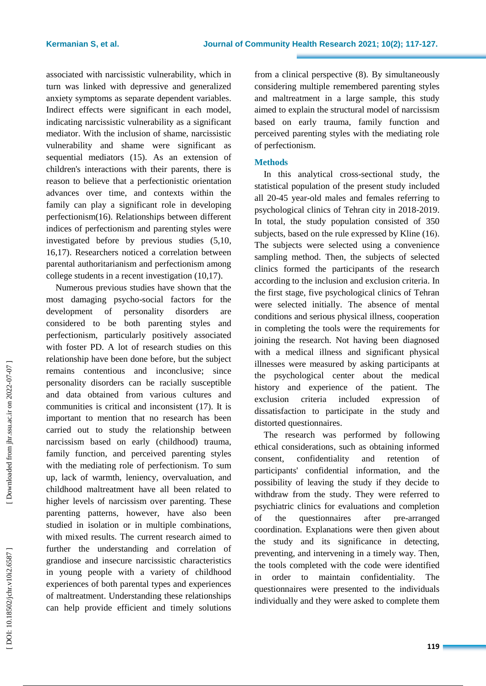associated with narcissistic vulnerability, which in turn was linked with depressive and generalized anxiety symptoms as separate dependent variables. Indirect effects were significant in each model, indicating narcissistic vulnerability as a significant mediator. With the inclusion of shame, narcissistic vulnerability and shame were significant as sequential mediators (15). As an extension of children's interactions with their parents, there is reason to believe that a perfectionistic orientation advances over time, and contexts within the family can play a significant role in developing perfectionism(16). Relationships between different indices of perfectionism and parenting styles were investigated before by previous studies (5,10, 16,17). Researchers noticed a correlation between parental authoritarianism and perfectionism among college students in a recent investigation (10,17).

Numerous previous studies have shown that the most damaging psycho -social factors for the development of personality disorders are considered to be both parenting styles and perfectionism, particularly positively associated with foster PD. A lot of research studies on this relationship have been done before, but the subject remains contentious and inconclusive; since personality disorders can be racially susceptible and data obtained from various cultures and communities is critical and inconsistent (17). It is important to mention that no research has been carried out to study the relationship between narcissism based on early (childhood) trauma, family function , and perceived parenting styles with the mediating role of perfectionism. To sum up, lack of warmth, leniency, overvaluation, and childhood maltreatment have all been related to higher levels of narcissism over parenting. These parenting patterns, however, have also been studied in isolation or in multiple combinations, with mixed results. The current research aimed to further the understanding and correlation of grandiose and insecure narcissistic characteristics in young people with a variety of childhood experiences of both parental types and experiences of maltreatment. Understanding these relationships can help provide efficient and timely solutions

from a clinical perspective (8). By simultaneously considering multiple remembered parenting styles and maltreatment in a large sample, this study aimed to explain the structural model of narcissism based on early trauma, family function and perceived parenting styles with the mediating role of perfectionism .

## **Methods**

In this analytical cross -sectional study, the statistical population of the present study included all 20 -45 year -old males and females referring to psychological clinics of Tehran city in 2018 -2019. In total, the study population consisted of 350 subjects, based on the rule expressed by Kline (16). The subjects were selected using a convenience sampling method. Then, the subjects of selected clinics formed the participants of the research according to the inclusion and exclusion criteria. In the first stage, five psychological clinics of Tehran were selected initially. The absence of mental conditions and serious physical illness, cooperation in completing the tools were the requirements for joining the research. Not having been diagnosed with a medical illness and significant physical illnesses were measured by asking participants at the psychological center about the medical history and experience of the patient. The exclusion criteria included expression of dissatisfaction to participate in the study and distorted questionnaires.

The research was performed by following ethical considerations , such as obtaining informed consent, confidentiality and retention of participants' confidential information, and the possibility of leaving the study if they decide to withdraw from the study. They were referred to psychiatric clinics for evaluations and completion of the questionnaires after pre-arranged coordination. Explanations were then given about the study and its significance in detecting, preventing, and intervening in a timely way. Then, the tools completed with the code were identified in order to maintain confidentiality. The questionnaires were presented to the individuals individually and they were asked to complete them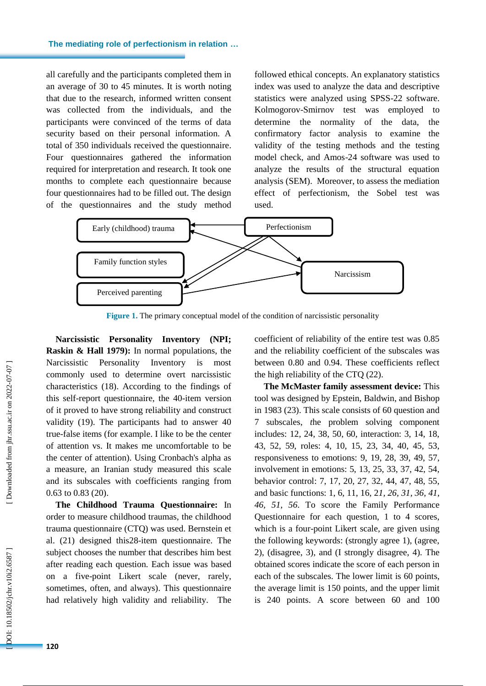#### **The mediating role of perfectionism in relation …**

all carefully and the participants completed them in an average of 30 to 45 minutes. It is worth noting that due to the research, informed written consent was collected from the individuals, and the participants were convinced of the terms of data security based on their personal information. A total of 350 individuals received the questionnaire. Four questionnaires gathered the information required for interpretation and research. It took one months to complete each questionnaire because four questionnaires had to be filled out. The design of the questionnaires and the study method followed ethical concepts. An explanatory statistics index was used to analyze the data and descriptive statistics were analyzed using SPSS - 2 2 software. Kolmogorov -Smirnov test was employed to determine the normality of the data, the confirmatory factor analysis to examine the validity of the testing methods and the testing model check, and Amos -24 software was used to analyze the results of the structural equation analysis (SEM[\).](https://ncss-wpengine.netdna-ssl.com/wp-content/themes/ncss/pdf/Procedures/PASS/Tests_of_Mediation_Effect_using_the_Sobel_Test.pdf) [Moreover, to assess the mediation](https://ncss-wpengine.netdna-ssl.com/wp-content/themes/ncss/pdf/Procedures/PASS/Tests_of_Mediation_Effect_using_the_Sobel_Test.pdf)  [effect of perfectionism, the Sobel](https://ncss-wpengine.netdna-ssl.com/wp-content/themes/ncss/pdf/Procedures/PASS/Tests_of_Mediation_Effect_using_the_Sobel_Test.pdf)  test was [used.](https://ncss-wpengine.netdna-ssl.com/wp-content/themes/ncss/pdf/Procedures/PASS/Tests_of_Mediation_Effect_using_the_Sobel_Test.pdf)



**Figure 1 .** The primary conceptual model of the condition of narcissistic personality

**Narcissistic Personality Inventory (NPI; Raskin & Hall 1979) :** In normal populations, the Narcissistic Personality Inventory is most commonly used to determine overt narcissistic characteristics (18). According to the findings of this self-report questionnaire, the 40 -item version of it proved to have strong reliability and construct validity (19). The participants had to answer 40 true -false items (for example. I like to be the center of attention vs. It makes me uncomfortable to be the center of attention). Using Cronbach's alpha as a measure, an Iranian study measured this scale and its subscales with coefficients ranging from 0.63 to 0.83 (20).

**The Childhood Trauma Questionnaire:** In order to measure childhood traumas, the childhood trauma questionnaire (CTQ) was used. Bernstein et al. (21) designed this28 -item questionnaire. The subject chooses the number that describes him best after reading each question. Each issue was based on a five -point Likert scale (never, rarely, sometimes, often, and always). This questionnaire had relatively high validity and reliability. The

coefficient of reliability of the entire test was 0.85 and the reliability coefficient of the subscales was between 0.80 and 0.94. These coefficients reflect the high reliability of the CTQ (22).

**The McMaster family assessment device:** This tool was designed by Epstein, Baldwin , and Bishop in 1983 (23). This scale consists of 60 question and 7 subscales, *t*he problem solving component includes: 12, 24, 38, 50, 60, interaction: 3, 14, 18, 43, 52, 59, roles: 4, 10, 15, 23, 34, 40, 45, 53, responsiveness to emotions: 9, 19, 28, 39, 49, 57, involvement in emotions: 5, 13, 25, 33, 37, 42, 54, behavior control: 7, 17, 20, 27, 32, 44, 47, 48, 55, and basic functions: 1, 6, 11, 16, 2*1, 26, 31, 36, 41, 46, 51, 56*. To score the Family Performance Questionnaire for each question, 1 to 4 scores, which is a four -point Likert scale, are given using the following keywords: (strongly agree 1), (agree, 2), (disagree, 3) , and (I strongly disagree, 4). The obtained scores indicate the score of each person in each of the subscales. The lower limit is 60 points, the average limit is 150 points, and the upper limit is 240 points. A score between 60 and 100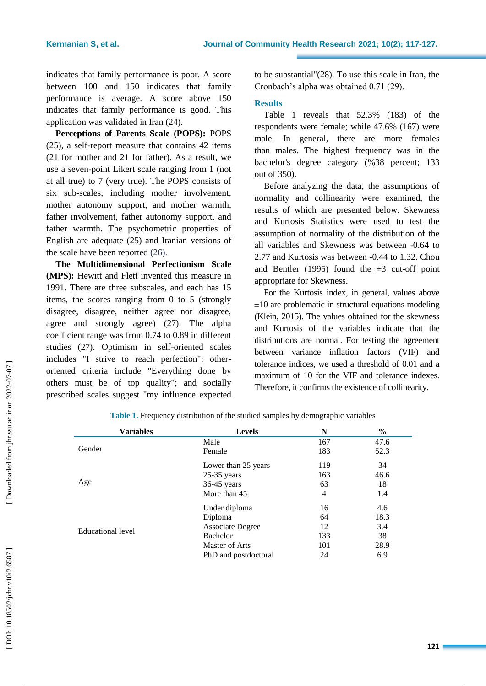indicates that family performance is poor. A score between 100 and 150 indicates that family performance is average. A score above 150 indicates that family performance is good. This application was validated in Iran (24).

**Perceptions of Parents Scale (POPS):** POPS (25), a self-report measure that contains 42 items (21 for mother and 21 for father). As a result, we use a seven -point Likert scale ranging from 1 (not at all true) to 7 (very true). The POPS consists of six sub -scales, including mother involvement, mother autonomy support, and mother warmth, father involvement, father autonomy support, and father warmth. The psychometric properties of English are adequate (25) and Iranian versions of the scale have been reported (26) .

**The Multidimensional Perfectionism Scale (MPS) :** Hewitt and Flett invented this measure in 1991. There are three subscales, and each has 15 items, the scores ranging from 0 to 5 (strongly disagree, disagree, neither agree nor disagree, agree and strongly agree) (27). The alpha coefficient range was from 0.74 to 0.89 in different studies (27). Optimism in self -oriented scales includes "I strive to reach perfection"; other oriented criteria include "Everything done by others must be of top quality"; and socially prescribed scales suggest "my influence expected

to be substantial"(28). To use this scale in Iran, the Cronbach's alpha was obtained 0.71 (29).

#### **Results**

Table 1 reveals that 52.3% (183) of the respondents were female ; while 47.6% (167) were male. In general, there are more females than males. The highest frequency was in the bachelor's degree category ( %38 percent; 133 out of 350).

Before analyzing the data, the assumptions of normality and collinearity were examined, the results of which are presented below. Skewness and Kurtosis Statistics were used to test the assumption of normality of the distribution of the all variables and Skewness was between -0.64 to 2.77 and Kurtosis was between - 0.44 to 1.32. Chou and Bentler (1995) found the  $\pm 3$  cut-off point appropriate for Skewness.

For the Kurtosis index, in general, values above  $\pm 10$  are problematic in structural equations modeling (Klein, 2015). The values obtained for the skewness and Kurtosis of the variables indicate that the distributions are normal. For testing the agreement between variance inflation factors (VIF) and tolerance indices, we used a threshold of 0.01 and a maximum of 10 for the VIF and tolerance indexes. Therefore, it confirms the existence of collinearity.

| <b>Variables</b>  | <b>Levels</b>        | N   | $\%$ |
|-------------------|----------------------|-----|------|
|                   | Male                 | 167 | 47.6 |
| Gender            | Female               | 183 | 52.3 |
|                   | Lower than 25 years  | 119 | 34   |
|                   | $25-35$ years        | 163 | 46.6 |
| Age               | 36-45 years          | 63  | 18   |
|                   | More than 45         | 4   | 1.4  |
|                   | Under diploma        | 16  | 4.6  |
|                   | Diploma              | 64  | 18.3 |
| Educational level | Associate Degree     | 12  | 3.4  |
|                   | Bachelor             | 133 | 38   |
|                   | Master of Arts       | 101 | 28.9 |
|                   | PhD and postdoctoral | 24  | 6.9  |

**Table 1.** Frequency distribution of the studied sample s by demographic variables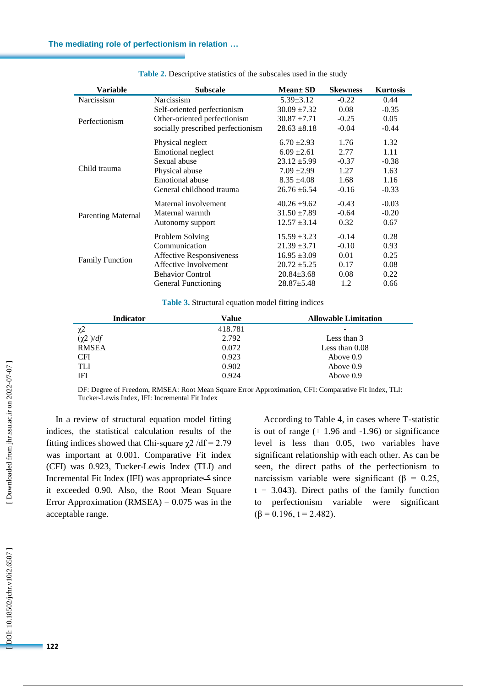| Variable                  | <b>Subscale</b>                   | <b>Mean</b> ± SD | <b>Skewness</b> | <b>Kurtosis</b> |
|---------------------------|-----------------------------------|------------------|-----------------|-----------------|
| Narcissism                | Narcissism                        | $5.39 \pm 3.12$  | $-0.22$         | 0.44            |
|                           | Self-oriented perfectionism       | $30.09 \pm 7.32$ | 0.08            | $-0.35$         |
| Perfectionism             | Other-oriented perfectionism      | $30.87 \pm 7.71$ | $-0.25$         | 0.05            |
|                           | socially prescribed perfectionism | $28.63 \pm 8.18$ | $-0.04$         | $-0.44$         |
|                           | Physical neglect                  | $6.70 \pm 2.93$  | 1.76            | 1.32            |
|                           | <b>Emotional neglect</b>          | $6.09 \pm 2.61$  | 2.77            | 1.11            |
|                           | Sexual abuse                      | $23.12 \pm 5.99$ | $-0.37$         | $-0.38$         |
| Child trauma              | Physical abuse                    | $7.09 \pm 2.99$  | 1.27            | 1.63            |
|                           | <b>Emotional abuse</b>            | $8.35 \pm 4.08$  | 1.68            | 1.16            |
|                           | General childhood trauma          | $26.76 \pm 6.54$ | $-0.16$         | $-0.33$         |
|                           | Maternal involvement              | $40.26 \pm 9.62$ | $-0.43$         | $-0.03$         |
| <b>Parenting Maternal</b> | Maternal warmth                   | $31.50 \pm 7.89$ | $-0.64$         | $-0.20$         |
|                           | Autonomy support                  | $12.57 \pm 3.14$ | 0.32            | 0.67            |
|                           | Problem Solving                   | $15.59 \pm 3.23$ | $-0.14$         | 0.28            |
|                           | Communication                     | $21.39 \pm 3.71$ | $-0.10$         | 0.93            |
|                           | <b>Affective Responsiveness</b>   | $16.95 \pm 3.09$ | 0.01            | 0.25            |
| <b>Family Function</b>    | Affective Involvement             | $20.72 \pm 5.25$ | 0.17            | 0.08            |
|                           | <b>Behavior Control</b>           | $20.84 \pm 3.68$ | 0.08            | 0.22            |
|                           | <b>General Functioning</b>        | $28.87 \pm 5.48$ | 1.2             | 0.66            |

**Table 2.** Descriptive statistics of the subscales used in the study

**Table 3 .** Structural equation model fitting indices

| Value   | <b>Allowable Limitation</b> |
|---------|-----------------------------|
| 418.781 |                             |
| 2.792   | Less than 3                 |
| 0.072   | Less than $0.08$            |
| 0.923   | Above 0.9                   |
| 0.902   | Above 0.9                   |
| 0.924   | Above $0.9$                 |
|         |                             |

DF: Degree of Freedom, RMSEA: Root Mean Square Error Approximation, CFI: Comparative Fit Index, TLI: Tucker -Lewis Index, IFI: Incremental Fit Index

In a review of structural equation model fitting indices, the statistical calculation results of the fitting indices showed that Chi-square  $\chi$ 2 /df = 2.79 was important at 0.001. Comparative Fit index (CFI) was 0.923, Tucker -Lewis Index (TLI) and Incremental Fit Index (IFI) was appropriate since ک it exceeded 0.90. Also, the Root Mean Square Error Approximation (RMSEA)  $= 0.075$  was in the acceptable range.

According to Table 4, in cases where T -statistic is out of range  $(+ 1.96$  and  $-1.96$ ) or significance level is less than 0.05, two variables have significant relationship with each other. As can be seen, the direct paths of the perfectionism to narcissism variable were significant (β =  $0.25$ ,  $t = 3.043$ ). Direct paths of the family function to perfectionism variable were significant  $(\beta = 0.196, t = 2.482).$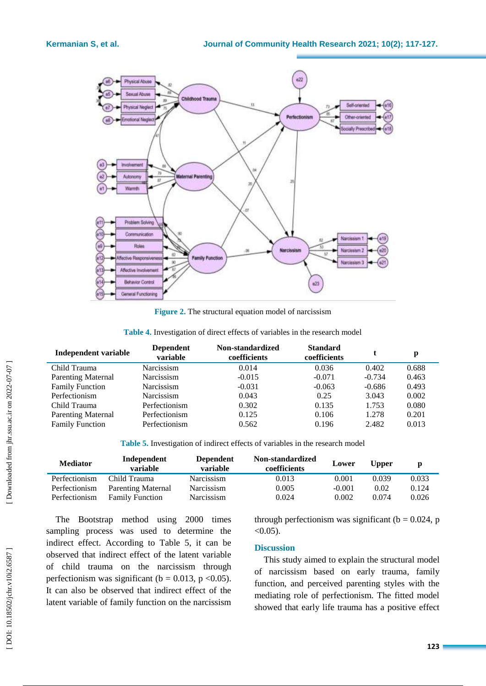

**Figure 2 .** The structural equation model of narcissism

| Table 4. Investigation of direct effects of variables in the research model |  |  |  |  |  |  |  |  |
|-----------------------------------------------------------------------------|--|--|--|--|--|--|--|--|
|-----------------------------------------------------------------------------|--|--|--|--|--|--|--|--|

| Independent variable      | <b>Dependent</b><br>variable | Non-standardized<br>coefficients | <b>Standard</b><br>coefficients |          | p     |  |
|---------------------------|------------------------------|----------------------------------|---------------------------------|----------|-------|--|
| Child Trauma              | Narcissism                   | 0.014                            | 0.036                           | 0.402    | 0.688 |  |
| <b>Parenting Maternal</b> | Narcissism                   | $-0.015$                         | $-0.071$                        | $-0.734$ | 0.463 |  |
| <b>Family Function</b>    | Narcissism                   | $-0.031$                         | $-0.063$                        | $-0.686$ | 0.493 |  |
| Perfectionism             | Narcissism                   | 0.043                            | 0.25                            | 3.043    | 0.002 |  |
| Child Trauma              | Perfectionism                | 0.302                            | 0.135                           | 1.753    | 0.080 |  |
| <b>Parenting Maternal</b> | Perfectionism                | 0.125                            | 0.106                           | 1.278    | 0.201 |  |
| <b>Family Function</b>    | Perfectionism                | 0.562                            | 0.196                           | 2.482    | 0.013 |  |
|                           |                              |                                  |                                 |          |       |  |

**Table 5.** Investigation of indirect effects of variables in the research model

| <b>Mediator</b> | Independent<br>variable | <b>Dependent</b><br>variable | Non-standardized<br>coefficients | Lower    | <b>Upper</b> |       |
|-----------------|-------------------------|------------------------------|----------------------------------|----------|--------------|-------|
| Perfectionism   | Child Trauma            | Narcissism                   | 0.013                            | 0.001    | 0.039        | 0.033 |
| Perfectionism   | Parenting Maternal      | Narcissism                   | 0.005                            | $-0.001$ | 0.02         | 0.124 |
| Perfectionism   | <b>Family Function</b>  | <b>Narcissism</b>            | 0.024                            | 0.002    | 0.074        | 0.026 |

The Bootstrap method using 2000 times sampling process was used to determine the indirect effect. According to Table 5, it can be observed that indirect effect of the latent variable of child trauma on the narcissism through perfectionism was significant ( $b = 0.013$ ,  $p < 0.05$ ). It can also be observed that indirect effect of the latent variable of family function on the narcissism

through perfectionism was significant ( $b = 0.024$ , p  $< 0.05$ ).

#### **Discussion**

This study aimed to explain the structural model of narcissism based on early trauma, family function, and perceived parenting styles with the mediating role of perfectionism. The fitted model showed that early life trauma has a positive effect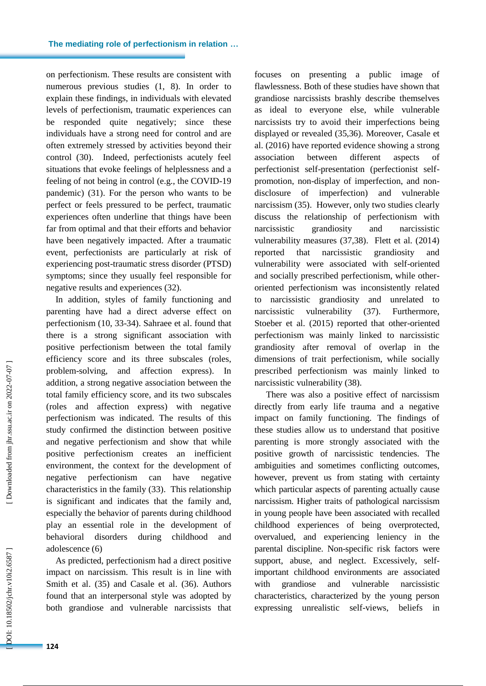on perfectionism. These results are consistent with numerous previous studies (1, 8). In order to explain these findings, in individuals with elevated levels of perfectionism, traumatic experiences can be responded quite negatively; since these individuals have a strong need for control and are often extremely stressed by activities beyond their control (30). Indeed, perfectionists acutely feel situations that evoke feelings of helplessness and a feeling of not being in control (e.g., the COVID -19 pandemic) (31). For the person who wants to be perfect or feels pressure d to be perfect, traumatic experiences often underline that things have been far from optimal and that their efforts and behavior have been negatively impacted. After a traumatic event, perfectionists are particularly at risk of experiencing post -traumatic stress disorder (PTSD) symptoms ; since they usually feel responsible for negative results and experiences (32).

In addition, styles of family functioning and parenting have had a direct adverse effect on perfectionism (10, 33 -34 ) . Sahraee et al . found that there is a strong significant association with positive perfectionism between the total family efficiency score and its three subscales (roles, problem -solving, and affection express). In addition, a strong negative association between the total family efficiency score , and its two subscales (roles and affection express) with negative perfectionism was indicated. The results of this study confirmed the distinction between positive and negative perfectionism and show that while positive perfectionism creates an inefficient environment, the context for the development of negative perfectionism can have negative characteristics in the family (33) . This relationship is significant and indicates that the family and, especially the behavior of parents during childhood play an essential role in the development of behavioral disorders during childhood and adolescence (6)

As predicted, perfectionism had a direct positive impact on narcissism. This result is in line with Smith et al . (35) and Casale et al . (36). Authors found that an interpersonal style was adopted by both grandiose and vulnerable narcissists that

focuses on presenting a public image of flawlessness. Both of these studies have shown that grandiose narcissists brashly describe themselves as ideal to everyone else, while vulnerable narcissists try to avoid their imperfections being displayed or revealed (35,36). Moreover, Casale et al. (2016) have reported evidence showing a strong association between different aspects perfectionist self -presentation (perfectionist self promotion, non -display of imperfection, and non disclosure of imperfection) and vulnerable narcissism (35). However, only two studies clearly discuss the relationship of perfectionism with narcissistic grandiosity and narcissistic vulnerability measures (37,38). Flett et al. (2014) reported that narcissistic grandiosity and vulnerability were associated with self -oriented and socially prescribed perfectionism, while other oriented perfectionism was inconsistently related to narcissistic grandiosity and unrelated to narcissistic vulnerability (37). Furthermore, Stoeber et al. (2015) reported that other -oriented perfectionism was mainly linked to narcissistic grandiosity after removal of overlap in the dimensions of trait perfectionism, while socially prescribed perfectionism was mainly linked to narcissistic vulnerability (38).

There was also a positive effect of narcissism directly from early life trauma and a negative impact on family functioning. The findings of these studies allow us to understand that positive parenting is more strongly associated with the positive growth of narcissistic tendencies. The ambiguities and sometimes conflicting outcomes, however, prevent us from stating with certainty which particular aspects of parenting actually cause narcissism. Higher traits of pathological narcissism in young people have been associated with recalled childhood experiences of being overprotected, overvalued, and experiencing leniency in the parental discipline. Non -specific risk factors were support, abuse, and neglect. Excessively, selfimportant childhood environments are associated with grandiose and vulnerable narcissistic characteristics, characterized by the young person expressing unrealistic self -views, beliefs in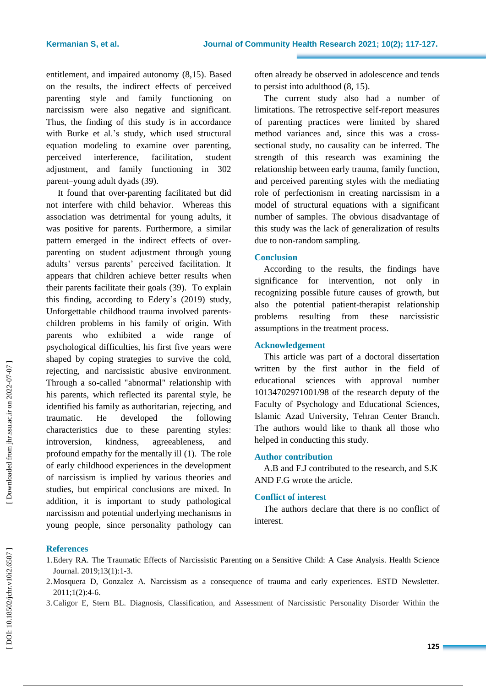entitlement, and impaired autonomy (8,15). Based on the results, the indirect effects of perceived parenting style and family functioning on narcissism were also negative and significant. Thus, the finding of this study is in accordance with Burke et al.'s study, which used structural equation modeling to examine over parenting, perceived interference, facilitation, student adjustment, and family functioning in 302 parent–young adult dyads (39).

It found that over -parenting facilitated but did not interfere with child behavior. Whereas this association was detrimental for young adults, it was positive for parents. Furthermore, a similar pattern emerged in the indirect effects of over parenting on student adjustment through young adults' versus parents' perceived facilitation. It appears that children achieve better results when their parents facilitate their goals (39). To explain this finding, according to Edery's (2019) study, Unforgettable childhood trauma involved parents children problems in his family of origin. With parents who exhibited a wide range of psychological difficulties, his first five years were shaped by coping strategies to survive the cold, rejecting, and narcissistic abusive environment. Through a so -called "abnormal" relationship with his parents, which reflected its parental style, he identified his family as authoritarian, rejecting, and traumatic. He developed the following characteristics due to these parenting styles: introversion, kindness, agreeableness, and profound empathy for the mentally ill (1). The role of early childhood experiences in the development of narcissism is implied by various theories and studies, but empirical conclusions are mixed. In addition, it is important to study pathological narcissism and potential underlying mechanisms in young people, since personality pathology can

often already be observed in adolescence and tends to persist into adulthood (8, 15).

The current study also had a number of limitations. The retrospective self -report measures of parenting practices were limited by shared method variances and, since this was a cross sectional study, no causality can be inferred. The strength of this research was examining the relationship between early trauma, family function, and perceived parenting styles with the mediating role of perfectionism in creating narcissism in a model of structural equations with a significant number of samples. The obvious disadvantage of this study was the lack of generalization of results due to non -random sampling.

### **Conclusion**

According to the result s , the findings have significance for intervention, not only in recognizing possible future causes of growth, but also the potential patient -therapist relationship problems resulting from these narcissistic assumptions in the treatment process.

## **Acknowledgement**

This article was part of a doctoral dissertation written by the first author in the field of educational sciences with approval number 10134702971001/98 of the research deputy of the Faculty of Psychology and Educational Sciences, Islamic Azad University, Tehran Center Branch. The authors would like to thank all those who helped in conducting this study.

## **Author contribution**

A.B and F.J contributed to the research, and S . K AND F . G wrote the article .

## **Conflict of interest**

The author s declare that there is no conflict of interest.

## **References**

3 .Caligor E, Stern BL. Diagnosis, Classification, and Assessment of Narcissistic Personality Disorder Within the

<sup>1.</sup>Edery RA. The Traumatic Effects of Narcissistic Parenting on a Sensitive Child: A Case Analysis. Health Science Journal. 2019;13(1):1 -3.

<sup>2</sup> .Mosquera D, Gonzalez A. Narcissism as a consequence of trauma and early experiences. ESTD Newsletter. 2011;1(2):4 -6.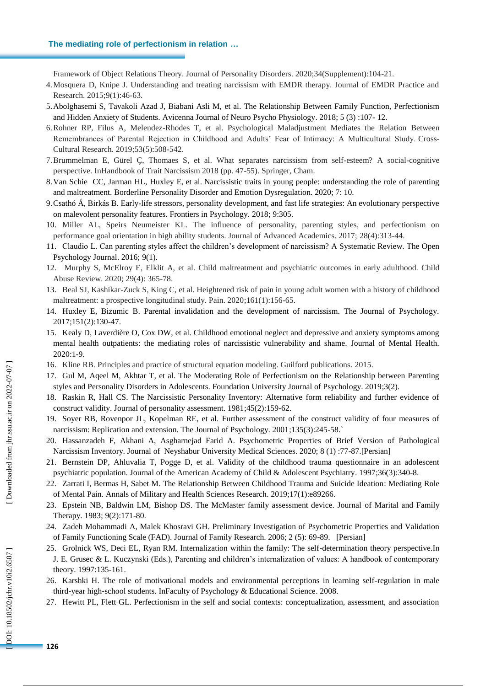#### **The mediating role of perfectionism in relation …**

Framework of Object Relations Theory. Journal of Personality Disorders. 2020;34(Supplement):104 -21.

- 4 .Mosquera D, Knipe J. Understanding and treating narcissism with EMDR therapy. Journal of EMDR Practice and Research. 2015;9(1):46 -63.
- 5 .Abolghasemi S, Tavakoli Azad J, Biabani Asli M, et al. The Relationship Between Family Function, Perfectionism and Hidden Anxiety of Students. Avicenna Journal of Neuro Psycho Physiology. 2018; 5 (3) :107 - 12.
- 6 .Rohner RP, Filus A, Melendez -Rhodes T, et al. Psychological Maladjustment Mediates the Relation Between Remembrances of Parental Rejection in Childhood and Adults' Fear of Intimacy: A Multicultural Study. Cross - Cultural Research. 2019;53(5):508 -542.
- 7 .Brummelman E, Gürel Ç, Thomaes S, et al. What separates narcissism from self -esteem? A social -cognitive perspective. InHandbook of Trait Narcissism 2018 (pp. 47 -55). Springer, Cham.
- 8 .Van Schie CC, Jarman HL, Huxley E , et al. Narcissistic traits in young people: understanding the role of parenting and maltreatment. Borderline Personality Disorder and Emotion Dysregulation. 2020; 7: 10.
- 9 .Csathó Á, Birkás B. Early -life stressors, personality development, and fast life strategies: An evolutionary perspective on malevolent personality features. Frontiers in Psychology. 2018; 9:305.
- 10 . Miller AL, Speirs Neumeister KL. The influence of personality, parenting styles, and perfectionism on performance goal orientation in high ability students. Journal of Advanced Academics. 2017; 28(4):313 -44.
- 11 . Claudio L. Can parenting styles affect the children's development of narcissism? A Systematic Review. The Open Psychology Journal. 2016; 9(1).
- 12 . Murphy S, McElroy E, Elklit A, et al. Child maltreatment and psychiatric outcomes in early adulthood. Child Abuse Review. 2020; 29(4): 365 -78.
- 13 . Beal SJ, Kashikar -Zuck S, King C, et al. Heightened risk of pain in young adult women with a history of childhood maltreatment: a prospective longitudinal study. Pain. 2020 ;161(1):156 -65.
- 14 . Huxley E, Bizumic B. Parental invalidation and the development of narcissism. The Journal of Psychology. 2017 ; 151(2):130 -47.
- 15 . Kealy D, Laverdière O, Cox DW, et al. Childhood emotional neglect and depressive and anxiety symptoms among mental health outpatients: the mediating roles of narcissistic vulnerability and shame. Journal of Mental Health. 2020:1 -9.
- 16 . Kline RB. Principles and practice of structural equation modeling. Guilford publications . 2015.
- 17 . Gul M, Aqeel M, Akhtar T, et al. The Moderating Role of Perfectionism on the Relationship between Parenting styles and Personality Disorders in Adolescents. Foundation University Journal of Psychology. 2019;3(2).
- 18 . Raskin R, Hall CS. The Narcissistic Personality Inventory: Alternative form reliability and further evidence of construct validity. Journal of personality assessment. 1981 ;45(2):159 -62.
- 19 . Soyer RB, Rovenpor JL, Kopelman RE, et al. Further assessment of the construct validity of four measures of narcissism: Replication and extension. The Journal of Psychology. 2001;135(3):245-58.
- 20 . Hassanzadeh F, Akhani A, Asgharnejad Farid A. Psychometric Properties of Brief Version of Pathological Narcissism Inventory. Journal of Neyshabur University Medical Sciences. 2020; 8 (1) :77 -87.[Persian]
- 21 . Bernstein DP, Ahluvalia T, Pogge D, et al. Validity of the childhood trauma questionnaire in an adolescent psychiatric population. Journal of the American Academy of Child & Adolescent Psychiatry. 1997;36(3):340 -8.
- 22 . Zarrati I, Bermas H, Sabet M. The Relationship Between Childhood Trauma and Suicide Ideation: Mediating Role of Mental Pain. Annals of Military and Health Sciences Research. 2019 ;17(1):e89266.
- 23 . Epstein NB, Baldwin LM, Bishop DS. The McMaster family assessment device. Journal of Marital and Family Therapy. 1983; 9(2):171 -80.
- 24 . Zadeh Mohammadi A, Malek Khosravi GH. Preliminary Investigation of Psychometric Properties and Validation of Family Functioning Scale (FAD). Journal of Family Research. 2006; 2 (5): 69 -89. [Persian]
- 25 . Grolnick WS, Deci EL, Ryan RM. Internalization within the family: The self -determination theory perspective.In J. E. Grusec & L. Kuczynski (Eds.), Parenting and children's internalization of values: A handbook of contemporary theory. 1997:135 -161.
- 26 . Karshki H. The role of motivational models and environmental perceptions in learning self -regulation in male third -year high -school students. InFaculty of Psychology & Educational Science . 2008.
- 27 . Hewitt PL, Flett GL. Perfectionism in the self and social contexts: conceptualization, assessment, and association